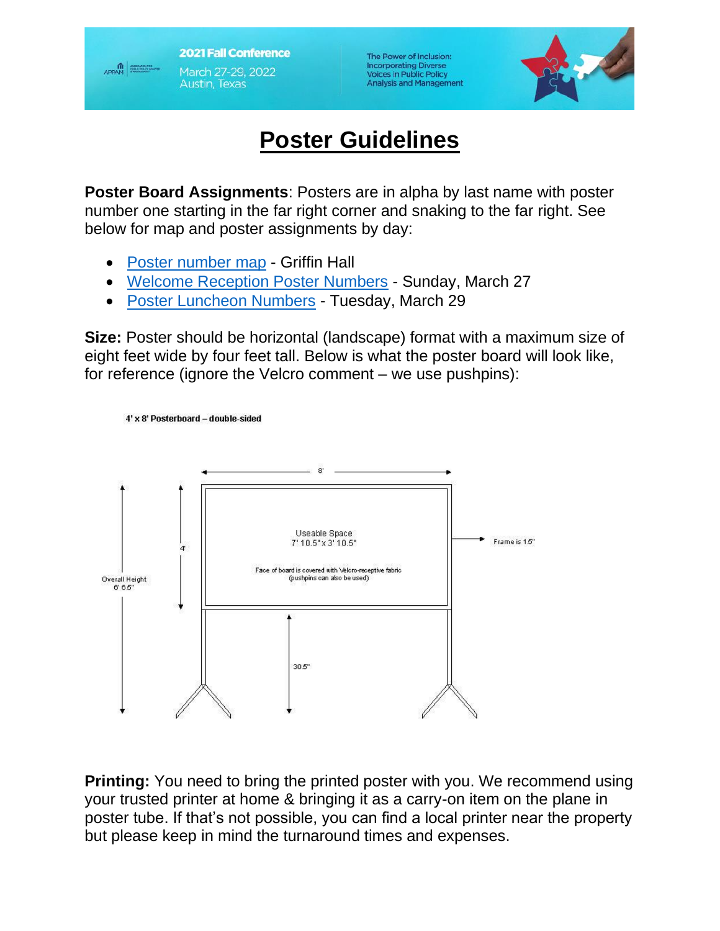**2021 Fall Conference** March 27-29, 2022 **Austin, Texas** 

APPAM

The Power of Inclusion: **Incorporating Diverse Voices in Public Policy Analysis and Management** 



## **Poster Guidelines**

**Poster Board Assignments**: Posters are in alpha by last name with poster number one starting in the far right corner and snaking to the far right. See below for map and poster assignments by day:

• [Poster number map](https://www.appam.org/assets/1/6/Exhibit_Hall_with_Poster_Numbers_-_16_copies_SS.pdf) - Griffin Hall

4' x 8' Posterboard - double-sided

- [Welcome Reception Poster Numbers](https://www.appam.org/assets/1/6/Sunday_Poster_List_.pdf) Sunday, March 27
- [Poster Luncheon Numbers](https://www.appam.org/assets/1/6/Tues_Poster_List.pdf) Tuesday, March 29

**Size:** Poster should be horizontal (landscape) format with a maximum size of eight feet wide by four feet tall. Below is what the poster board will look like, for reference (ignore the Velcro comment – we use pushpins):



**Printing:** You need to bring the printed poster with you. We recommend using your trusted printer at home & bringing it as a carry-on item on the plane in poster tube. If that's not possible, you can find a local printer near the property but please keep in mind the turnaround times and expenses.